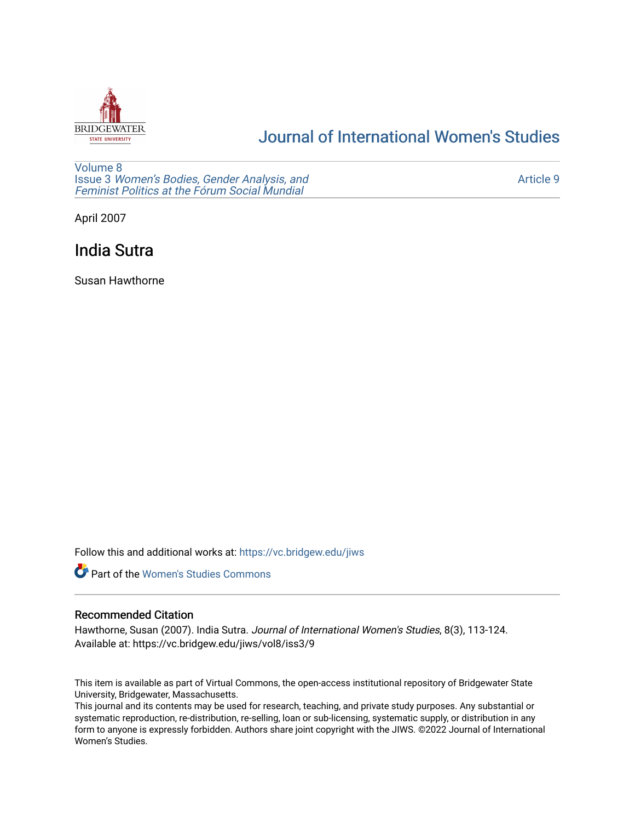

# [Journal of International Women's Studies](https://vc.bridgew.edu/jiws)

[Volume 8](https://vc.bridgew.edu/jiws/vol8) Issue 3 [Women's Bodies, Gender Analysis, and](https://vc.bridgew.edu/jiws/vol8/iss3) [Feminist Politics at the Fórum Social Mundial](https://vc.bridgew.edu/jiws/vol8/iss3)

[Article 9](https://vc.bridgew.edu/jiws/vol8/iss3/9) 

April 2007

# India Sutra

Susan Hawthorne

Follow this and additional works at: [https://vc.bridgew.edu/jiws](https://vc.bridgew.edu/jiws?utm_source=vc.bridgew.edu%2Fjiws%2Fvol8%2Fiss3%2F9&utm_medium=PDF&utm_campaign=PDFCoverPages)



## Recommended Citation

Hawthorne, Susan (2007). India Sutra. Journal of International Women's Studies, 8(3), 113-124. Available at: https://vc.bridgew.edu/jiws/vol8/iss3/9

This item is available as part of Virtual Commons, the open-access institutional repository of Bridgewater State University, Bridgewater, Massachusetts.

This journal and its contents may be used for research, teaching, and private study purposes. Any substantial or systematic reproduction, re-distribution, re-selling, loan or sub-licensing, systematic supply, or distribution in any form to anyone is expressly forbidden. Authors share joint copyright with the JIWS. ©2022 Journal of International Women's Studies.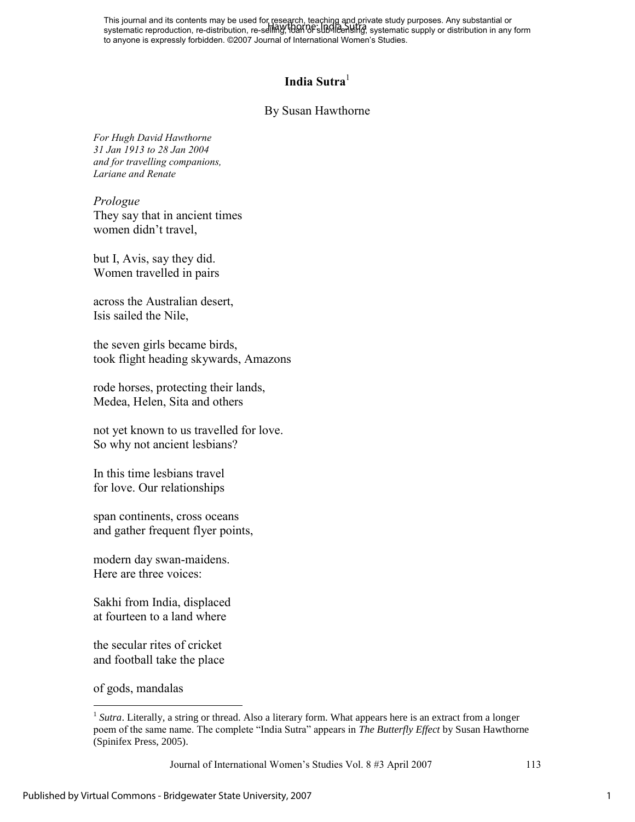This journal and its contents may be used for research, teaching and private study purposes. Any substantial or This journal and its contents may be used for research, reading and private study parposes. Any substantial or<br>systematic reproduction, re-distribution, re-selling, IDAI 0F sub-licensing, systematic supply or distribution to anyone is expressly forbidden. ©2007 Journal of International Women's Studies.

## **India Sutra**<sup>1</sup>

### By Susan Hawthorne

*For Hugh David Hawthorne 31 Jan 1913 to 28 Jan 2004 and for travelling companions, Lariane and Renate*

*Prologue*  They say that in ancient times women didn't travel,

but I, Avis, say they did. Women travelled in pairs

across the Australian desert, Isis sailed the Nile,

the seven girls became birds, took flight heading skywards, Amazons

rode horses, protecting their lands, Medea, Helen, Sita and others

not yet known to us travelled for love. So why not ancient lesbians?

In this time lesbians travel for love. Our relationships

span continents, cross oceans and gather frequent flyer points,

modern day swan-maidens. Here are three voices:

Sakhi from India, displaced at fourteen to a land where

the secular rites of cricket and football take the place

of gods, mandalas

 $\overline{a}$ 

<sup>&</sup>lt;sup>1</sup> Sutra. Literally, a string or thread. Also a literary form. What appears here is an extract from a longer poem of the same name. The complete "India Sutra" appears in *The Butterfly Effect* by Susan Hawthorne (Spinifex Press, 2005).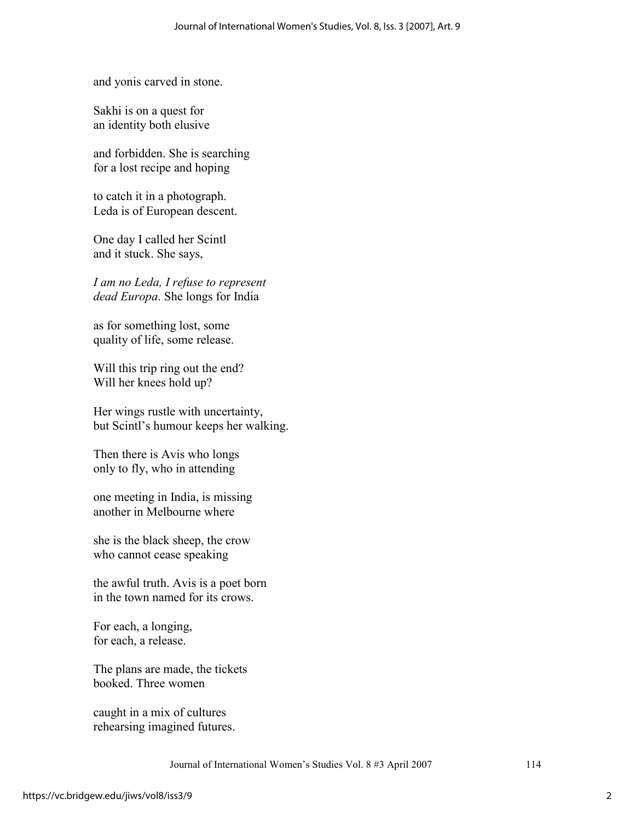and yonis carved in stone.

Sakhi is on a quest for an identity both elusive

and forbidden. She is searching for a lost recipe and hoping

to catch it in a photograph. Leda is of European descent.

One day I called her Scintl and it stuck. She says,

*I am no Leda, I refuse to represent dead Europa*. She longs for India

as for something lost, some quality of life, some release.

Will this trip ring out the end? Will her knees hold up?

Her wings rustle with uncertainty, but Scintl's humour keeps her walking.

Then there is Avis who longs only to fly, who in attending

one meeting in India, is missing another in Melbourne where

she is the black sheep, the crow who cannot cease speaking

the awful truth. Avis is a poet born in the town named for its crows.

For each, a longing, for each, a release.

The plans are made, the tickets booked. Three women

caught in a mix of cultures rehearsing imagined futures.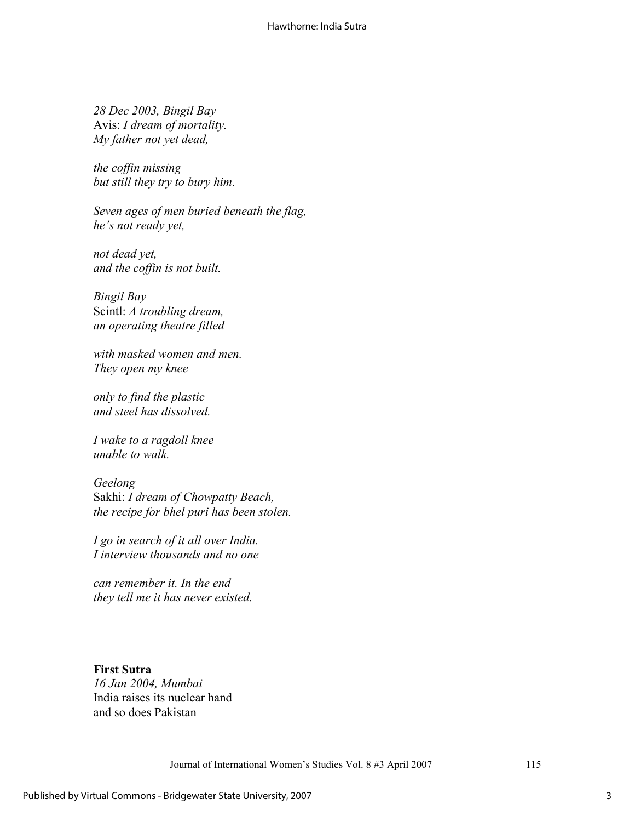*28 Dec 2003, Bingil Bay*  Avis: *I dream of mortality. My father not yet dead,* 

*the coffin missing but still they try to bury him.* 

*Seven ages of men buried beneath the flag, he's not ready yet,*

*not dead yet, and the coffin is not built.*

*Bingil Bay*  Scintl: *A troubling dream, an operating theatre filled* 

*with masked women and men. They open my knee* 

*only to find the plastic and steel has dissolved.* 

*I wake to a ragdoll knee unable to walk.* 

### *Geelong*

Sakhi: *I dream of Chowpatty Beach, the recipe for bhel puri has been stolen.* 

*I go in search of it all over India. I interview thousands and no one* 

*can remember it. In the end they tell me it has never existed.* 

### **First Sutra**

*16 Jan 2004, Mumbai*  India raises its nuclear hand and so does Pakistan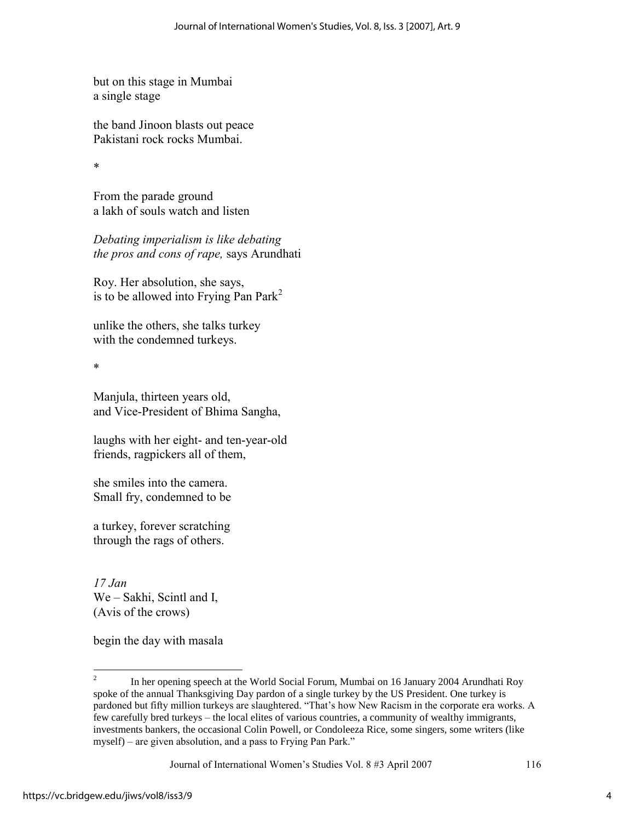but on this stage in Mumbai a single stage

the band Jinoon blasts out peace Pakistani rock rocks Mumbai.

\*

From the parade ground a lakh of souls watch and listen

*Debating imperialism is like debating the pros and cons of rape,* says Arundhati

Roy. Her absolution, she says, is to be allowed into Frying Pan Park<sup>2</sup>

unlike the others, she talks turkey with the condemned turkeys.

\*

Manjula, thirteen years old, and Vice-President of Bhima Sangha,

laughs with her eight- and ten-year-old friends, ragpickers all of them,

she smiles into the camera. Small fry, condemned to be

a turkey, forever scratching through the rags of others.

*17 Jan*  We – Sakhi, Scintl and I, (Avis of the crows)

begin the day with masala

 $\frac{1}{2}$  In her opening speech at the World Social Forum, Mumbai on 16 January 2004 Arundhati Roy spoke of the annual Thanksgiving Day pardon of a single turkey by the US President. One turkey is pardoned but fifty million turkeys are slaughtered. "That's how New Racism in the corporate era works. A few carefully bred turkeys – the local elites of various countries, a community of wealthy immigrants, investments bankers, the occasional Colin Powell, or Condoleeza Rice, some singers, some writers (like myself) – are given absolution, and a pass to Frying Pan Park."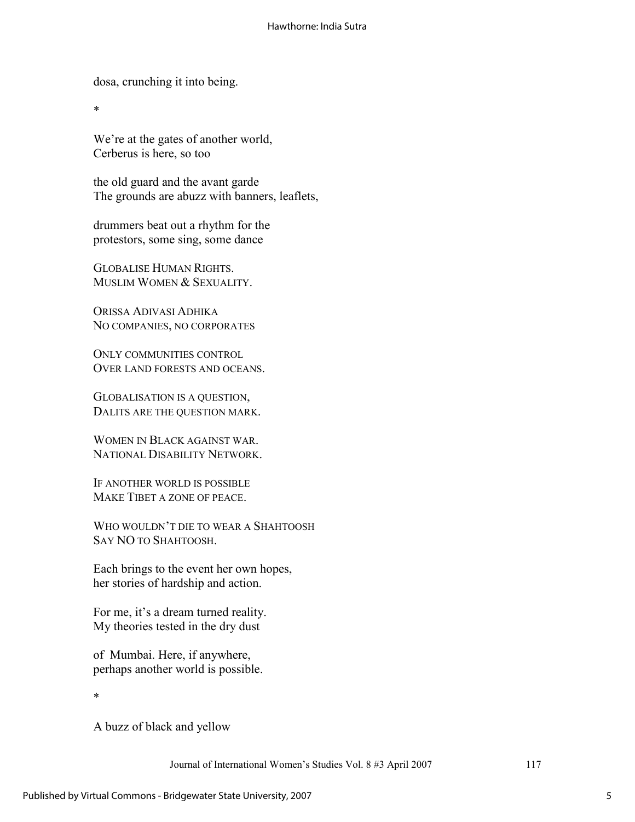dosa, crunching it into being.

\*

We're at the gates of another world, Cerberus is here, so too

the old guard and the avant garde The grounds are abuzz with banners, leaflets,

drummers beat out a rhythm for the protestors, some sing, some dance

GLOBALISE HUMAN RIGHTS. MUSLIM WOMEN & SEXUALITY

ORISSA ADIVASI ADHIKA NO COMPANIES, NO CORPORATES

ONLY COMMUNITIES CONTROL OVER LAND FORESTS AND OCEANS.

GLOBALISATION IS A QUESTION, DALITS ARE THE QUESTION MARK.

WOMEN IN BLACK AGAINST WAR. NATIONAL DISABILITY NETWORK.

IF ANOTHER WORLD IS POSSIBLE MAKE TIBET A ZONE OF PEACE.

WHO WOULDN'T DIE TO WEAR A SHAHTOOSH SAY NO TO SHAHTOOSH.

Each brings to the event her own hopes, her stories of hardship and action.

For me, it's a dream turned reality. My theories tested in the dry dust

of Mumbai. Here, if anywhere, perhaps another world is possible.

\*

A buzz of black and yellow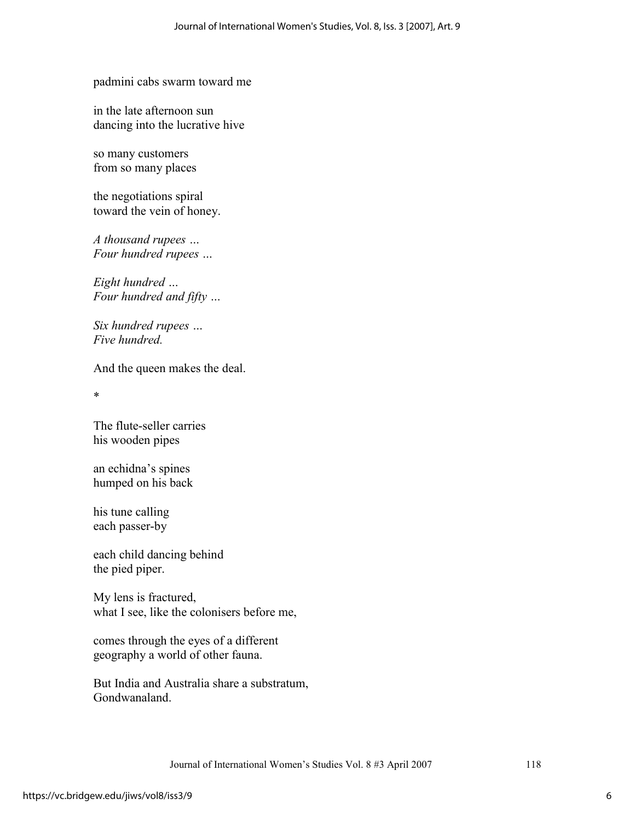padmini cabs swarm toward me

in the late afternoon sun dancing into the lucrative hive

so many customers from so many places

the negotiations spiral toward the vein of honey.

*A thousand rupees … Four hundred rupees …*

*Eight hundred … Four hundred and fifty …*

*Six hundred rupees … Five hundred.*

And the queen makes the deal.

\*

The flute-seller carries his wooden pipes

an echidna's spines humped on his back

his tune calling each passer-by

each child dancing behind the pied piper.

My lens is fractured, what I see, like the colonisers before me,

comes through the eyes of a different geography a world of other fauna.

But India and Australia share a substratum, Gondwanaland.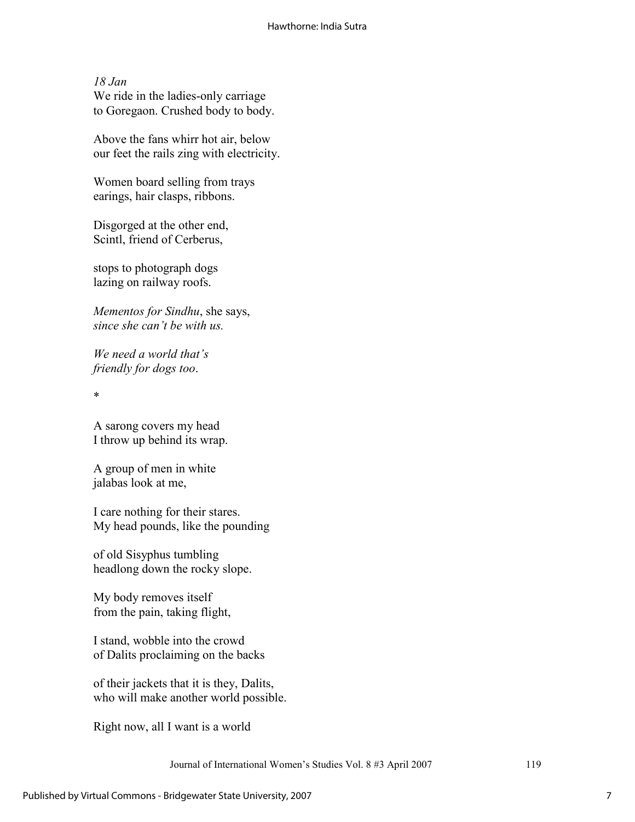*18 Jan*  We ride in the ladies-only carriage to Goregaon. Crushed body to body.

Above the fans whirr hot air, below our feet the rails zing with electricity.

Women board selling from trays earings, hair clasps, ribbons.

Disgorged at the other end, Scintl, friend of Cerberus,

stops to photograph dogs lazing on railway roofs.

*Mementos for Sindhu*, she says, *since she can't be with us.*

*We need a world that's friendly for dogs too*.

\*

A sarong covers my head I throw up behind its wrap.

A group of men in white jalabas look at me,

I care nothing for their stares. My head pounds, like the pounding

of old Sisyphus tumbling headlong down the rocky slope.

My body removes itself from the pain, taking flight,

I stand, wobble into the crowd of Dalits proclaiming on the backs

of their jackets that it is they, Dalits, who will make another world possible.

Right now, all I want is a world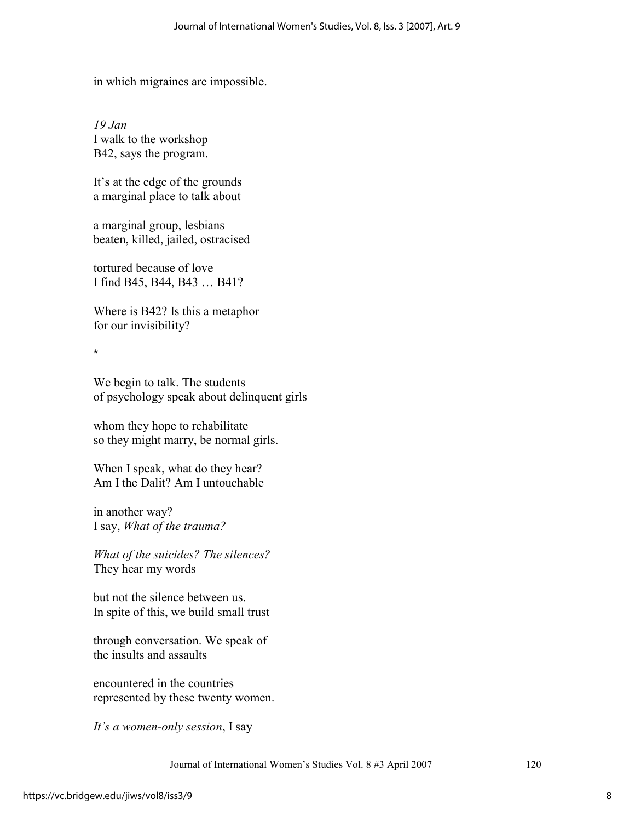in which migraines are impossible.

*19 Jan*  I walk to the workshop B42, says the program.

It's at the edge of the grounds a marginal place to talk about

a marginal group, lesbians beaten, killed, jailed, ostracised

tortured because of love I find B45, B44, B43 … B41?

Where is B42? Is this a metaphor for our invisibility?

\*

We begin to talk. The students of psychology speak about delinquent girls

whom they hope to rehabilitate so they might marry, be normal girls.

When I speak, what do they hear? Am I the Dalit? Am I untouchable

in another way? I say, *What of the trauma?*

*What of the suicides? The silences?*  They hear my words

but not the silence between us. In spite of this, we build small trust

through conversation. We speak of the insults and assaults

encountered in the countries represented by these twenty women.

*It's a women-only session*, I say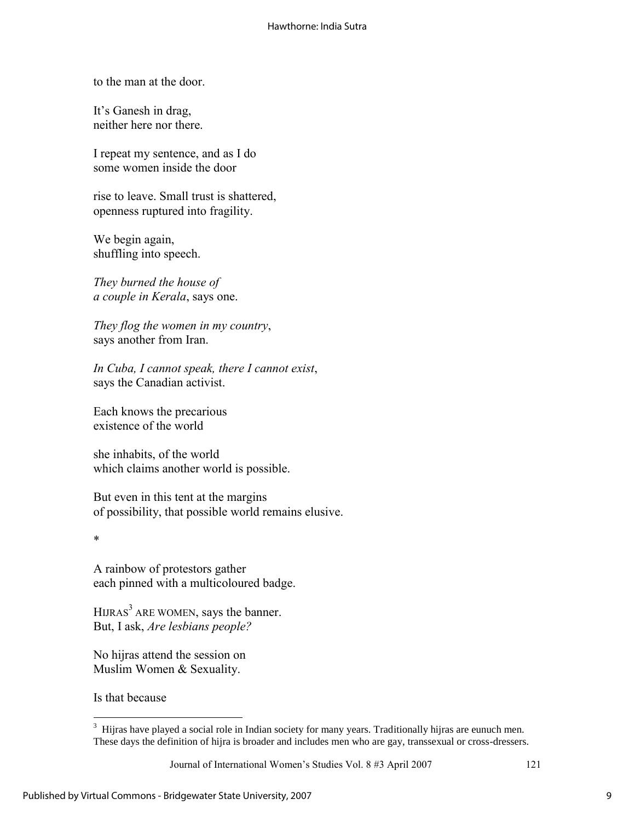to the man at the door.

It's Ganesh in drag, neither here nor there.

I repeat my sentence, and as I do some women inside the door

rise to leave. Small trust is shattered, openness ruptured into fragility.

We begin again, shuffling into speech.

*They burned the house of a couple in Kerala*, says one.

*They flog the women in my country*, says another from Iran.

*In Cuba, I cannot speak, there I cannot exist*, says the Canadian activist.

Each knows the precarious existence of the world

she inhabits, of the world which claims another world is possible.

But even in this tent at the margins of possibility, that possible world remains elusive.

\*

A rainbow of protestors gather each pinned with a multicoloured badge.

HIJRAS<sup>3</sup> ARE WOMEN, says the banner. But, I ask, *Are lesbians people?*

No hijras attend the session on Muslim Women & Sexuality.

Is that because

<sup>&</sup>lt;sup>3</sup> Hijras have played a social role in Indian society for many years. Traditionally hijras are eunuch men. These days the definition of hijra is broader and includes men who are gay, transsexual or cross-dressers.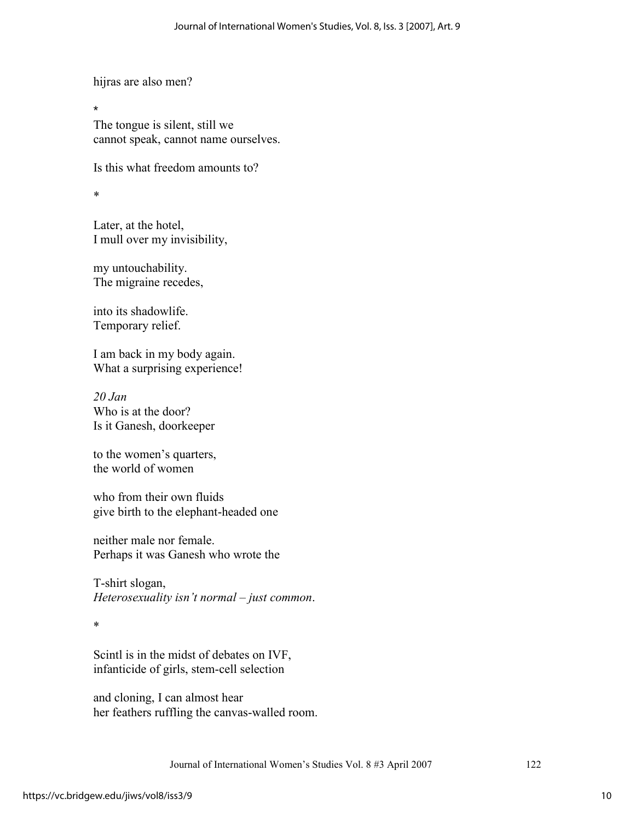hijras are also men?

The tongue is silent, still we cannot speak, cannot name ourselves.

Is this what freedom amounts to?

\*

\*

Later, at the hotel, I mull over my invisibility,

my untouchability. The migraine recedes,

into its shadowlife. Temporary relief.

I am back in my body again. What a surprising experience!

*20 Jan*  Who is at the door? Is it Ganesh, doorkeeper

to the women's quarters, the world of women

who from their own fluids give birth to the elephant-headed one

neither male nor female. Perhaps it was Ganesh who wrote the

T-shirt slogan, *Heterosexuality isn't normal – just common*.

\*

Scintl is in the midst of debates on IVF, infanticide of girls, stem-cell selection

and cloning, I can almost hear her feathers ruffling the canvas-walled room.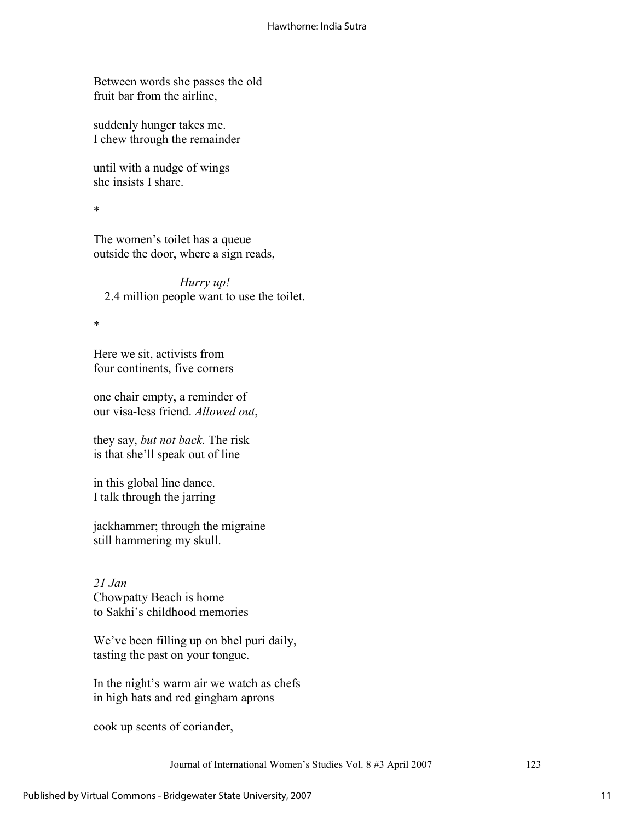Between words she passes the old fruit bar from the airline,

suddenly hunger takes me. I chew through the remainder

until with a nudge of wings she insists I share.

\*

The women's toilet has a queue outside the door, where a sign reads,

*Hurry up!*  2.4 million people want to use the toilet.

\*

Here we sit, activists from four continents, five corners

one chair empty, a reminder of our visa-less friend. *Allowed out*,

they say, *but not back*. The risk is that she'll speak out of line

in this global line dance. I talk through the jarring

jackhammer; through the migraine still hammering my skull.

*21 Jan*  Chowpatty Beach is home to Sakhi's childhood memories

We've been filling up on bhel puri daily, tasting the past on your tongue.

In the night's warm air we watch as chefs in high hats and red gingham aprons

cook up scents of coriander,